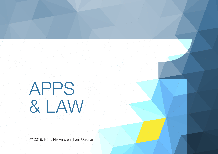# APPS & LAW

© 2019, Ruby Nefkens en Ilham Ouajnan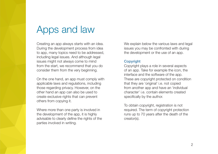# Apps and law

Creating an app always starts with an idea. During the development process from idea to app, many topics need to be addressed, including legal issues. And although legal issues might not always come to mind from the start, we recommend that you do consider them from the very beginning.

On the one hand, an app must comply with applicable laws and regulations, including those regarding privacy. However, on the other hand an app can also be used to create exclusive rights that can prevent others from copying it.

Where more than one party is involved in the development of the app, it is highly advisable to clearly define the rights of the parties involved in writing.

We explain below the various laws and legal issues you may be confronted with during the development or the use of an app.

# **Copyright**

Copyright plays a role in several aspects of an app. Take for example the icon, the interface and the software of the app. These are copyright protected on condition that they are 'original' i.e. not copied from another app and have an 'individual character' i.e. contain elements created specifically by the author.

To obtain copyright, registration is not required. The term of copyright protection runs up to 70 years after the death of the creator(s).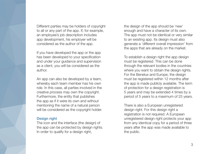Different parties may be holders of copyright to all or any part of the app. If, for example, an employee's job description includes app development, his employer will be considered as the author of the app.

If you have developed the app or the app has been developed to your specification and under your guidance and supervision as a client, you will be considered as the author.

An app can also be developed by a team, whereby each team member has his own role. In this case, all parties involved in the creative process may own the copyright. Furthermore, the entity that publishes the app as if it were its own and without mentioning the name of a natural person will be considered as the copyright holder.

# Design right

The icon and the interface (the design) of the app can be protected by design rights. In order to qualify for a design right,

the design of the app should be 'new' enough and have a character of its own. The app must not be identical or very similar to an existing app. Its design must also generate a 'different overall impression' from the apps that are already on the market.

To establish a design right the app design must be registered. This can be done through the relevant bodies in the countries where you want to obtain the design rights. For the Benelux and Europe, the design must be registered within 12 months after the app is made publicly available. The term of protection for a design registration is 5 years and may be extended 4 times by a period of 5 years to a maximum of 25 years.

There is also a European unregistered design right. For this design right a registration is not required. A European unregistered design right protects your app from any identical copy for a period of three years after the app was made available to the public.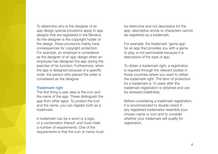To determine who is the designer of an app design special provisions apply to app designs that are registered in the Benelux. As the designer is the copyright holder of the design, these provisions mainly have consequences for copyright protection. For example, an employer is considered as the designer of an app design when an employee has designed the app during the exercise of his function. Furthermore, when the app is designed because of a specific order, the person who placed the order is considered as the designer.

# Trademark right

The first thing a user sees is the icon and the name of the app. These distinguish the app from other apps. To protect the icon and the name, you can register both as a trademark.

A trademark can be a word or a logo, or a combination thereof, and must meet a number of requirements. One of the requirements is that the icon or name must be distinctive and not descriptive for the app: descriptive words or characters cannot be registered as a trademark.

For example, the trademark 'game app' for an app that provides you with a game to play, is not permissible because it is descriptive of the type of app.

To obtain a trademark right, a registration is required through the relevant bodies in those countries where you want to obtain the trademark right. The term of protection for a trademark is 10 years after the trademark registration is obtained and can be renewed indefinitely.

Before considering a trademark registration, it is recommended to double check if any registered trademarks resemble your chosen name or icon and to consider whether your trademark will qualify for registration.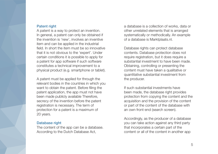#### **Patent right**

A patent is a way to protect an invention. In general, a patent can only be obtained if the invention is 'new', involves an inventive item and can be applied in the industrial field. In short the item must be so innovative that it is not obvious to the 'expert'. Under certain conditions it is possible to apply for a patent for app software if such software constitutes a technical improvement to a physical product (e.g. smartphone or tablet).

A patent must be applied for through the relevant bodies in the countries in which you want to obtain the patent. Before filing the patent application, the app must not have been made publicly available Therefore, secrecy of the invention before the patent registration is necessary. The term of protection for a patent is a maximum of 20 years.

#### Database right

The content of the app can be a database. According to the Dutch Database Act,

a database is a collection of works, data or other unrelated elements that is arranged systematically or methodically. An example of a database is Marktplaats.nl.

Database rights can protect database contents. Database protection does not require registration, but it does require a substantial investment to have been made. Obtaining, controlling or presenting the content must have taken a qualitative or quantitative substantial investment from the producer.

If such substantial investments have been made, the database right provides protection from copying the content and the acquisition and the provision of the content or part of the content of the database with an own front-end (search screen).

Accordingly, as the producer of a database you can take action against any third party that incorporates a certain part of the content or all of the content in another app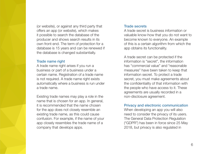(or website), or against any third party that offers an app (or website), which makes it possible to search the database of the producer and shows search results in its own front-end. The term of protection for a database is 15 years and can be renewed if the database is changed substantially.

#### Trade name right

A trade name right arises if you run a business or part of a business under a certain name. Registration of a trade name is not required. A trade name right exists automatically where a business is run under a trade name.

Existing trade names may play a role in the name that is chosen for an app. In general, it is recommended that the name chosen for the app does not closely resemble an existing trade name, as this could cause confusion. For example, if the name of your app closely resembles the trade name of a company that develops apps.

#### Trade secrets

A trade secret is business information or valuable know-how that you do not want to become known to everyone. An example of this is a certain algorithm from which the app obtains its functionality.

A trade secret can be protected if the information is "secret", the information has "commercial value" and "reasonable measures" have been taken to keep that information secret. To protect a trade secret, you must make agreements about the confidentiality of that information with the people who have access to it. These agreements are usually recorded in a non-disclosure agreement.

# Privacy and electronic communication

When developing an app you will also need to consider the privacy of its users. The General Data Protection Regulation ("GDPR") has been in force since 25 May 2018, but privacy is also regulated in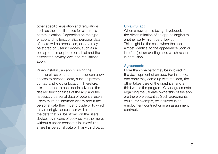other specific legislation and regulations, such as the specific rules for electronic communication. Depending on the type of app and its functionality, personal data of users will be processed, or data may be stored on users' devices, such as a pc, laptop, smartphone or tablet and the associated privacy laws and regulations apply.

When installing an app or using the functionalities of an app, the user can allow access to personal data, such as private contacts, photos or location. Therefore, it is important to consider in advance the desired functionalities of the app and the necessary personal data of potential users. Users must be informed clearly about the personal data they must provide or to which they must give access, as well as about the data that will be stored on the users' devices by means of cookies. Furthermore, without a user's consent it is unlawful to share his personal data with any third party.

#### Unlawful act

When a new app is being developed, the direct imitation of an app belonging to another party might be unlawful. This might be the case when the app is almost identical to the appearance (icon or interface) of an existing app, which results in confusion.

# **Agreements**

More than one party may be involved in the development of an app. For instance, one party may come up with the idea, the other takes care of the graphics, and a third writes the program. Clear agreements regarding the ultimate ownership of the app are therefore essential. Such agreements could, for example, be included in an employment contract or in an assignment contract.